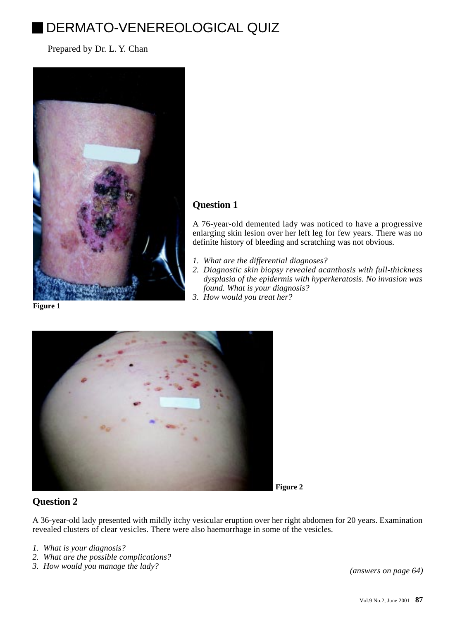# DERMATO-VENEREOLOGICAL QUIZ

Prepared by Dr. L. Y. Chan



# **Question 1**

A 76-year-old demented lady was noticed to have a progressive enlarging skin lesion over her left leg for few years. There was no definite history of bleeding and scratching was not obvious.

- *1. What are the differential diagnoses?*
- *2. Diagnostic skin biopsy revealed acanthosis with full-thickness dysplasia of the epidermis with hyperkeratosis. No invasion was found. What is your diagnosis?*
- *3. How would you treat her?*

**Figure 1**



## **Figure 2**

## **Question 2**

A 36-year-old lady presented with mildly itchy vesicular eruption over her right abdomen for 20 years. Examination revealed clusters of clear vesicles. There were also haemorrhage in some of the vesicles.

- *1. What is your diagnosis?*
- *2. What are the possible complications?*
- *3. How would you manage the lady? [\(answers on page 64\)](200106-11a.pdf)*